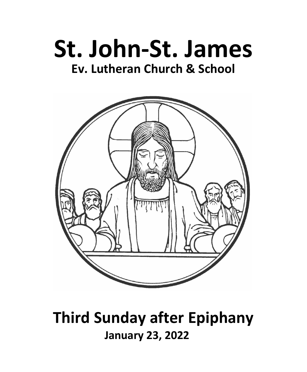



# **Third Sunday after Epiphany January 23, 2022**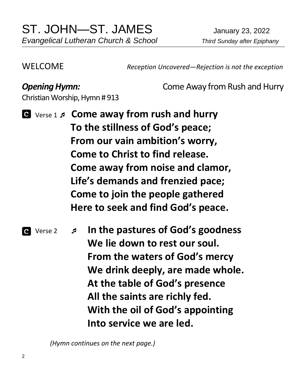WELCOME *Reception Uncovered—Rejection is not the exception*

**Opening Hymn:** Come Away from Rush and Hurry

Christian Worship, Hymn # 913

 Verse 1  **Come away from rush and hurry To the stillness of God's peace; From our vain ambition's worry, Come to Christ to find release. Come away from noise and clamor, Life's demands and frenzied pace; Come to join the people gathered Here to seek and find God's peace.**

 Verse 2  **In the pastures of God's goodness We lie down to rest our soul. From the waters of God's mercy We drink deeply, are made whole. At the table of God's presence All the saints are richly fed. With the oil of God's appointing Into service we are led.**

 *(Hymn continues on the next page.)*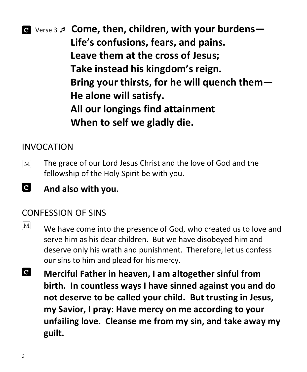

#### INVOCATION

- The grace of our Lord Jesus Christ and the love of God and the  $|M|$ fellowship of the Holy Spirit be with you.
- Id **And also with you.**

#### CONFESSION OF SINS

- $\lceil \text{M} \rceil$ We have come into the presence of God, who created us to love and serve him as his dear children. But we have disobeyed him and deserve only his wrath and punishment. Therefore, let us confess our sins to him and plead for his mercy.
- $\bullet$ **Merciful Father in heaven, I am altogether sinful from birth. In countless ways I have sinned against you and do not deserve to be called your child. But trusting in Jesus, my Savior, I pray: Have mercy on me according to your unfailing love. Cleanse me from my sin, and take away my guilt.**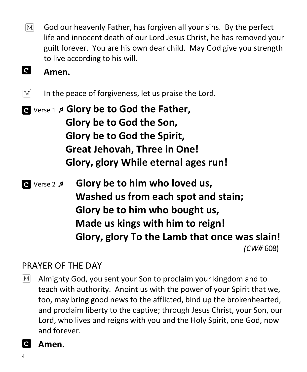$|M|$ God our heavenly Father, has forgiven all your sins. By the perfect life and innocent death of our Lord Jesus Christ, he has removed your guilt forever. You are his own dear child. May God give you strength to live according to his will.

#### **a Amen.**

 $\lceil \text{M} \rceil$ In the peace of forgiveness, let us praise the Lord.

 Verse 1 **Glory be to God the Father, Glory be to God the Son, Glory be to God the Spirit, Great Jehovah, Three in One! Glory, glory While eternal ages run!**

 Verse 2  **Glory be to him who loved us, Washed us from each spot and stain; Glory be to him who bought us, Made us kings with him to reign! Glory, glory To the Lamb that once was slain!** *(CW#* 608)

### PRAYER OF THE DAY

 $\lfloor M \rfloor$ Almighty God, you sent your Son to proclaim your kingdom and to teach with authority. Anoint us with the power of your Spirit that we, too, may bring good news to the afflicted, bind up the brokenhearted, and proclaim liberty to the captive; through Jesus Christ, your Son, our Lord, who lives and reigns with you and the Holy Spirit, one God, now and forever.

### **Amen.**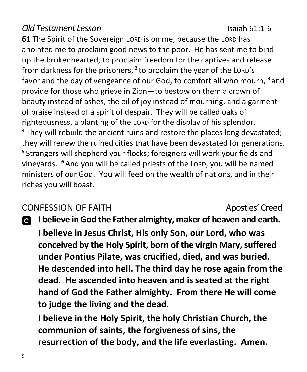#### *Old Testament Lesson* Isaiah 61:1-6

**61** The Spirit of the Sovereign LORD is on me, because the LORD has anointed me to proclaim good news to the poor. He has sent me to bind up the brokenhearted, to proclaim freedom for the captives and release from darkness for the prisoners, **<sup>2</sup>** to proclaim the year of the LORD's favor and the day of vengeance of our God, to comfort all who mourn, **<sup>3</sup>** and provide for those who grieve in Zion—to bestow on them a crown of beauty instead of ashes, the oil of joy instead of mourning, and a garment of praise instead of a spirit of despair. They will be called oaks of righteousness, a planting of the LORD for the display of his splendor. **<sup>4</sup>** They will rebuild the ancient ruins and restore the places long devastated; they will renew the ruined cities that have been devastated for generations. **5** Strangers will shepherd your flocks; foreigners will work your fields and vineyards. **<sup>6</sup>** And you will be called priests of the LORD, you will be named ministers of our God. You will feed on the wealth of nations, and in their riches you will boast.

#### CONFESSION OF FAITH Apostles' Creed

**I believe in God the Father almighty, maker of heaven and earth. I believe in Jesus Christ, His only Son, our Lord, who was conceived by the Holy Spirit, born of the virgin Mary, suffered under Pontius Pilate, was crucified, died, and was buried. He descended into hell. The third day he rose again from the dead. He ascended into heaven and is seated at the right hand of God the Father almighty. From there He will come to judge the living and the dead.**

**I believe in the Holy Spirit, the holy Christian Church, the communion of saints, the forgiveness of sins, the resurrection of the body, and the life everlasting. Amen.**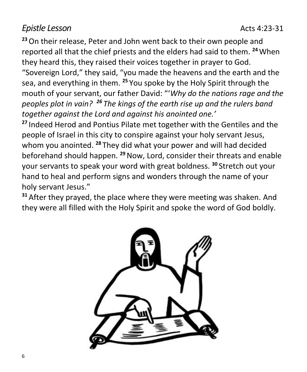#### *Epistle* Lesson **Acts** 4:23-31

**<sup>23</sup>**On their release, Peter and John went back to their own people and reported all that the chief priests and the elders had said to them. **<sup>24</sup>**When they heard this, they raised their voices together in prayer to God. "Sovereign Lord," they said, "you made the heavens and the earth and the sea, and everything in them. **<sup>25</sup>** You spoke by the Holy Spirit through the mouth of your servant, our father David: "'*Why do the nations rage and the peoples plot in vain? <sup>26</sup> The kings of the earth rise up and the rulers band together against the Lord and against his anointed one.'*

**<sup>27</sup>** Indeed Herod and Pontius Pilate met together with the Gentiles and the people of Israel in this city to conspire against your holy servant Jesus, whom you anointed. **<sup>28</sup>** They did what your power and will had decided beforehand should happen. **<sup>29</sup>**Now, Lord, consider their threats and enable your servants to speak your word with great boldness. **<sup>30</sup>** Stretch out your hand to heal and perform signs and wonders through the name of your holy servant Jesus."

**<sup>31</sup>** After they prayed, the place where they were meeting was shaken. And they were all filled with the Holy Spirit and spoke the word of God boldly.

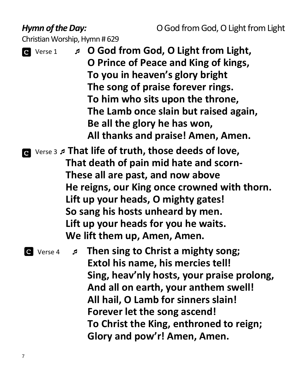#### *Hymn of the Day:* **C** God from God, O Light from Light

Christian Worship, Hymn # 629

- Verse 1 **O God from God, O Light from Light, O Prince of Peace and King of kings, To you in heaven's glory bright The song of praise forever rings. To him who sits upon the throne, The Lamb once slain but raised again, Be all the glory he has won, All thanks and praise! Amen, Amen.**
- Verse <sup>3</sup> **That life of truth, those deeds of love, That death of pain mid hate and scorn-These all are past, and now above He reigns, our King once crowned with thorn. Lift up your heads, O mighty gates! So sang his hosts unheard by men. Lift up your heads for you he waits. We lift them up, Amen, Amen.**

 Verse 4 **Then sing to Christ a mighty song; Extol his name, his mercies tell! Sing, heav'nly hosts, your praise prolong, And all on earth, your anthem swell! All hail, O Lamb for sinners slain! Forever let the song ascend! To Christ the King, enthroned to reign; Glory and pow'r! Amen, Amen.**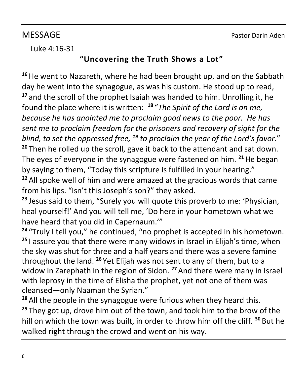#### Luke 4:16-31

#### **"Uncovering the Truth Shows a Lot"**

**<sup>16</sup>**He went to Nazareth, where he had been brought up, and on the Sabbath day he went into the synagogue, as was his custom. He stood up to read, **<sup>17</sup>** and the scroll of the prophet Isaiah was handed to him. Unrolling it, he found the place where it is written: **<sup>18</sup>** "*The Spirit of the Lord is on me, because he has anointed me to proclaim good news to the poor. He has sent me to proclaim freedom for the prisoners and recovery of sight for the blind, to set the oppressed free, <sup>19</sup> to proclaim the year of the Lord's favor*." **<sup>20</sup>** Then he rolled up the scroll, gave it back to the attendant and sat down. The eyes of everyone in the synagogue were fastened on him. **<sup>21</sup>**He began by saying to them, "Today this scripture is fulfilled in your hearing." **<sup>22</sup>** All spoke well of him and were amazed at the gracious words that came

from his lips. "Isn't this Joseph's son?" they asked.

**<sup>23</sup>** Jesus said to them, "Surely you will quote this proverb to me: 'Physician, heal yourself!' And you will tell me, 'Do here in your hometown what we have heard that you did in Capernaum.'"

**<sup>24</sup>** "Truly I tell you," he continued, "no prophet is accepted in his hometown. **<sup>25</sup>** I assure you that there were many widows in Israel in Elijah's time, when the sky was shut for three and a half years and there was a severe famine throughout the land. **<sup>26</sup>** Yet Elijah was not sent to any of them, but to a widow in Zarephath in the region of Sidon. **<sup>27</sup>** And there were many in Israel with leprosy in the time of Elisha the prophet, yet not one of them was cleansed—only Naaman the Syrian."

**<sup>28</sup>** All the people in the synagogue were furious when they heard this. **<sup>29</sup>** They got up, drove him out of the town, and took him to the brow of the hill on which the town was built, in order to throw him off the cliff. **<sup>30</sup>** But he walked right through the crowd and went on his way.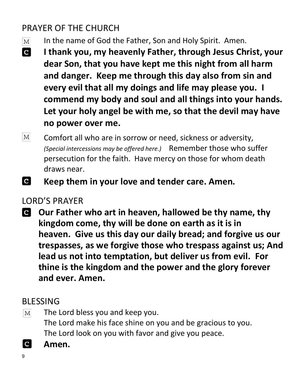## PRAYER OF THE CHURCH

- In the name of God the Father, Son and Holy Spirit. Amen.  $\lceil \text{M} \rceil$
- **C I thank you, my heavenly Father, through Jesus Christ, your dear Son, that you have kept me this night from all harm and danger. Keep me through this day also from sin and every evil that all my doings and life may please you. I commend my body and soul and all things into your hands. Let your holy angel be with me, so that the devil may have no power over me.**
- $M$ Comfort all who are in sorrow or need, sickness or adversity, *(Special intercessions may be offered here.)* Remember those who suffer persecution for the faith. Have mercy on those for whom death draws near.
- **C Keep them in your love and tender care. Amen.**

### LORD'S PRAYER

**Our Father who art in heaven, hallowed be thy name, thy kingdom come, thy will be done on earth as it is in heaven. Give us this day our daily bread; and forgive us our trespasses, as we forgive those who trespass against us; And lead us not into temptation, but deliver us from evil. For thine is the kingdom and the power and the glory forever and ever. Amen.**

### BLESSING

- The Lord bless you and keep you.  $\lceil \text{M} \rceil$ The Lord make his face shine on you and be gracious to you. The Lord look on you with favor and give you peace.
- $|c|$ **Amen.**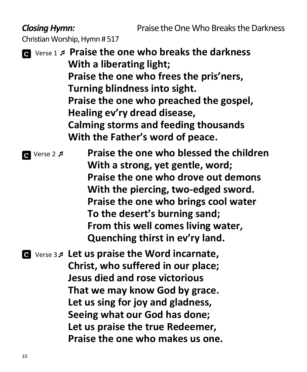*Closing Hymn:* Praise the One Who Breaks the Darkness

Christian Worship, Hymn # 517

 Verse 1 **Praise the one who breaks the darkness With a liberating light; Praise the one who frees the pris'ners, Turning blindness into sight. Praise the one who preached the gospel, Healing ev'ry dread disease, Calming storms and feeding thousands With the Father's word of peace.**

**a** Verse 2 *Praise the one who blessed the children* **With a strong, yet gentle, word; Praise the one who drove out demons With the piercing, two-edged sword. Praise the one who brings cool water To the desert's burning sand; From this well comes living water, Quenching thirst in ev'ry land.**

 Verse 3 **Let us praise the Word incarnate, Christ, who suffered in our place; Jesus died and rose victorious That we may know God by grace. Let us sing for joy and gladness, Seeing what our God has done; Let us praise the true Redeemer, Praise the one who makes us one.**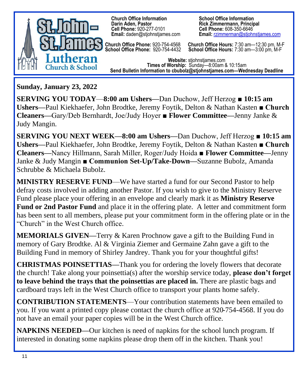

 **Church Office Information School Office Information Cell Phone:** 920-277-0101<br>**Email:** daden@stjohnstjames.com

**Church Office Phone:** 920-754-4568 **Church Office Hours:** 7:30 am—12:30 pm, M-F **School Office Phone:** 920-754-4432 **School Office Hours:** 7:30 am—3:00 pm, M-F

**Rick Zimmermann, Principal<br>Cell Phone: 608-350-6646 Email: rzimmerman@stjohnstjames.com** 

**Website:** stjohnstjames.com **Times of Worship:** Sunday—8:00am & 10:15am **Send Bulletin Information to cbubolz@stjohnstjames.com—Wednesday Deadline**

**Sunday, January 23, 2022**

**SERVING YOU TODAY**—**8:00 am Ushers—**Dan Duchow, Jeff Herzog ■ **10:15 am Ushers—**Paul Kiekhaefer, John Brodtke, Jeremy Foytik, Delton & Nathan Kasten **■ Church Cleaners—**Gary/Deb Bernhardt, Joe/Judy Hoyer ■ **Flower Committee—**Jenny Janke & Judy Mangin.

**SERVING YOU NEXT WEEK—8:00 am Ushers—**Dan Duchow, Jeff Herzog ■ **10:15 am Ushers—**Paul Kiekhaefer, John Brodtke, Jeremy Foytik, Delton & Nathan Kasten **■ Church Cleaners—**Nancy Hillmann, Sarah Miller, Roger/Judy Hoida ■ **Flower Committee—**Jenny Janke & Judy Mangin **■ Communion Set-Up/Take-Down—**Suzanne Bubolz, Amanda Schrubbe & Michaela Bubolz.

**MINISTRY RESERVE FUND**—We have started a fund for our Second Pastor to help defray costs involved in adding another Pastor. If you wish to give to the Ministry Reserve Fund please place your offering in an envelope and clearly mark it as **Ministry Reserve Fund or 2nd Pastor Fund** and place it in the offering plate. A letter and commitment form has been sent to all members, please put your commitment form in the offering plate or in the "Church" in the West Church office.

**MEMORIALS GIVEN—**Terry & Karen Prochnow gave a gift to the Building Fund in memory of Gary Brodtke. Al & Virginia Ziemer and Germaine Zahn gave a gift to the Building Fund in memory of Shirley Jandrey. Thank you for your thoughtful gifts!

**CHRISTMAS POINSETTIAS—**Thank you for ordering the lovely flowers that decorate the church! Take along your poinsettia(s) after the worship service today, **please don't forget to leave behind the trays that the poinsettias are placed in.** There are plastic bags and cardboard trays left in the West Church office to transport your plants home safely.

**CONTRIBUTION STATEMENTS**—Your contribution statements have been emailed to you. If you want a printed copy please contact the church office at 920-754-4568. If you do not have an email your paper copies will be in the West Church office.

**NAPKINS NEEDED—**Our kitchen is need of napkins for the school lunch program. If interested in donating some napkins please drop them off in the kitchen. Thank you!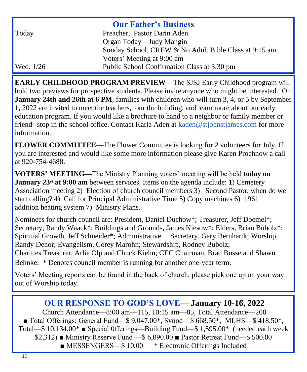| <b>Our Father's Business</b> |                                                       |  |
|------------------------------|-------------------------------------------------------|--|
| Today                        | Preacher, Pastor Darin Aden                           |  |
|                              | Organ Today—Judy Mangin                               |  |
|                              | Sunday School, CREW & No Adult Bible Class at 9:15 am |  |
|                              | Voters' Meeting at 9:00 am                            |  |
| Wed. 1/26                    | Public School Confirmation Class at 3:30 pm           |  |

**EARLY CHILDHOOD PROGRAM PREVIEW—**The SJSJ Early Childhood program will hold two previews for prospective students. Please invite anyone who might be interested. On **January 24th and 26th at 6 PM**, families with children who will turn 3, 4, or 5 by September 1, 2022 are invited to meet the teachers, tour the building, and learn more about our early education program. If you would like a brochure to hand to a neighbor or family member or friend--stop in the school office. Contact Karla Aden at [kaden@stjohnstjames.com](mailto:kaden@stjohnstjames.com) for more information.

**FLOWER COMMITTEE—**The Flower Committee is looking for 2 volunteers for July. If you are interested and would like some more information please give Karen Prochnow a call at 920-754-4688.

**VOTERS' MEETING—**The Ministry Planning voters' meeting will be held **today on January 23<sup>rd</sup> at 9:00 am** between services. Items on the agenda include: 1) Cemetery Association meeting 2) Election of church council members 3) Second Pastor, when do we start calling? 4) Call for Principal Administrative Time 5) Copy machines 6) 1961 addition heating system 7) Ministry Plans.

Nominees for church council are: President, Daniel Duchow\*; Treasurer, Jeff Doemel\*; Secretary, Randy Waack\*; Buildings and Grounds, James Kiesow\*; Elders, Brian Bubolz\*; Spiritual Growth, Jeff Schneider\*; Administrative Secretary, Gary Bernhardt; Worship, Randy Denor; Evangelism, Corey Marohn; Stewardship, Rodney Bubolz; Charities Treasurer, Arlie Olp and Chuck Kiehn; CEC Chairman, Brad Busse and Shawn Behnke. \* Denotes council member is running for another one-year term.

Voters' Meeting reports can be found in the back of church, please pick one up on your way out of Worship today.

#### **OUR RESPONSE TO GOD'S LOVE— January 10-16, 2022**

Church Attendance—8:00 am—115, 10:15 am—85, Total Attendance—200 ■ Total Offerings: General Fund—\$ 9,047.00\*, Synod—\$ 668.50\*, MLHS—\$ 418.50\*, Total—\$ 10,134.00\* ■ Special 0fferings—Building Fund—\$ 1,595.00\* (needed each week  $$2,312)$  Ministry Reserve Fund  $$6,090.00$  Pastor Retreat Fund  $$500.00$ ■ MESSENGERS—\$10.00 \* Electronic Offerings Included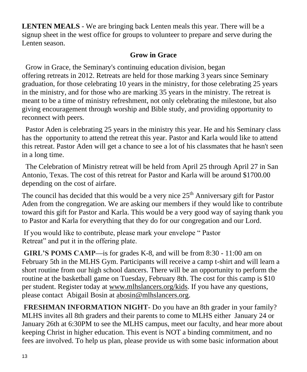**LENTEN MEALS** - We are bringing back Lenten meals this year. There will be a signup sheet in the west office for groups to volunteer to prepare and serve during the Lenten season.

#### **Grow in Grace**

 Grow in Grace, the Seminary's continuing education division, began offering retreats in 2012. Retreats are held for those marking 3 years since Seminary graduation, for those celebrating 10 years in the ministry, for those celebrating 25 years in the ministry, and for those who are marking 35 years in the ministry. The retreat is meant to be a time of ministry refreshment, not only celebrating the milestone, but also giving encouragement through worship and Bible study, and providing opportunity to reconnect with peers.

 Pastor Aden is celebrating 25 years in the ministry this year. He and his Seminary class has the opportunity to attend the retreat this year. Pastor and Karla would like to attend this retreat. Pastor Aden will get a chance to see a lot of his classmates that he hasn't seen in a long time.

 The Celebration of Ministry retreat will be held from April 25 through April 27 in San Antonio, Texas. The cost of this retreat for Pastor and Karla will be around \$1700.00 depending on the cost of airfare.

The council has decided that this would be a very nice 25<sup>th</sup> Anniversary gift for Pastor Aden from the congregation. We are asking our members if they would like to contribute toward this gift for Pastor and Karla. This would be a very good way of saying thank you to Pastor and Karla for everything that they do for our congregation and our Lord.

If you would like to contribute, please mark your envelope " Pastor Retreat" and put it in the offering plate.

**GIRL'S POMS CAMP—**is for grades K-8, and will be from 8:30 - 11:00 am on February 5th in the MLHS Gym. Participants will receive a camp t-shirt and will learn a short routine from our high school dancers. There will be an opportunity to perform the routine at the basketball game on Tuesday, February 8th. The cost for this camp is \$10 per student. Register today at [www.mlhslancers.org/kids.](http://www.mlhslancers.org/kids) If you have any questions, please contact Abigail Bosin at [abosin@mlhslancers.org.](mailto:abosin@mlhslancers.org)

**FRESHMAN INFORMATION NIGHT-** Do you have an 8th grader in your family? MLHS invites all 8th graders and their parents to come to MLHS either January 24 or January 26th at 6:30PM to see the MLHS campus, meet our faculty, and hear more about keeping Christ in higher education. This event is NOT a binding commitment, and no fees are involved. To help us plan, please provide us with some basic information about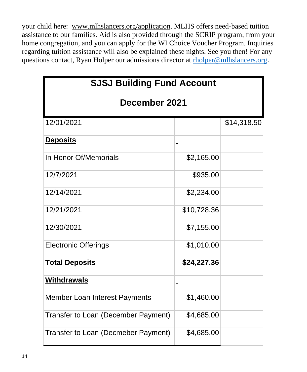your child here: [www.mlhslancers.org/application.](http://www.mlhslancers.org/application) MLHS offers need-based tuition assistance to our families. Aid is also provided through the SCRIP program, from your home congregation, and you can apply for the WI Choice Voucher Program. Inquiries regarding tuition assistance will also be explained these nights. See you then! For any questions contact, Ryan Holper our admissions director at [rholper@mlhslancers.org](mailto:rholper@mlhslancers.org).

| <b>SJSJ Building Fund Account</b>   |             |             |  |  |
|-------------------------------------|-------------|-------------|--|--|
| December 2021                       |             |             |  |  |
| 12/01/2021                          |             | \$14,318.50 |  |  |
| <b>Deposits</b>                     |             |             |  |  |
| In Honor Of/Memorials               | \$2,165.00  |             |  |  |
| 12/7/2021                           | \$935.00    |             |  |  |
| 12/14/2021                          | \$2,234.00  |             |  |  |
| 12/21/2021                          | \$10,728.36 |             |  |  |
| 12/30/2021                          | \$7,155.00  |             |  |  |
| <b>Electronic Offerings</b>         | \$1,010.00  |             |  |  |
| <b>Total Deposits</b>               | \$24,227.36 |             |  |  |
| <b>Withdrawals</b>                  |             |             |  |  |
| Member Loan Interest Payments       | \$1,460.00  |             |  |  |
| Transfer to Loan (December Payment) | \$4,685.00  |             |  |  |
| Transfer to Loan (Decmeber Payment) | \$4,685.00  |             |  |  |